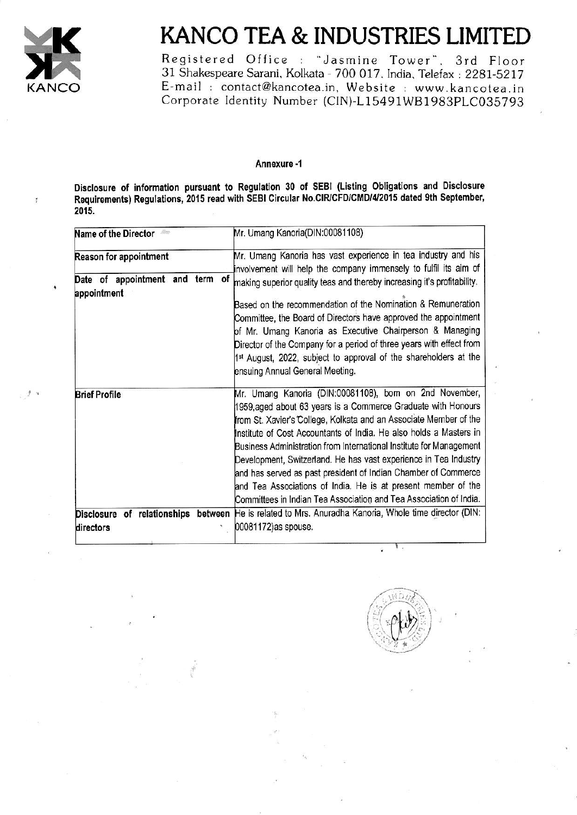

Ħ

 $\mathcal{F}$ 

# KANCO TEA & INDUSTRIES LIMITED

Registered Office : "Jasmine Tower", 3rd Floor<br>31 Shakespeare Sarani, Kolkata - 700 017, India, Telefax : 2281-5217 E-mail : contact@kancotea.in, Website : www.kancotea.in Corporate Identity Number (CIN)-L15491WB1983PLC035793

#### Annexure -1

Disclosure of information pursuant to Regulation 30 of SEBI (Listing Obligations and Disclosure Requirements) Regulations, 2015 read with SEBI Circular No.CIR/CFD/CMD/4/2015 dated 9th September, 2015.

| Reason for appointment                         | Mr. Umang Kanoria has vast experience in tea industry and his                                                                                                                                                                                                                                                                                                                                                                                                                                                                                                                                                           |
|------------------------------------------------|-------------------------------------------------------------------------------------------------------------------------------------------------------------------------------------------------------------------------------------------------------------------------------------------------------------------------------------------------------------------------------------------------------------------------------------------------------------------------------------------------------------------------------------------------------------------------------------------------------------------------|
|                                                | involvement will help the company immensely to fulfil its aim of                                                                                                                                                                                                                                                                                                                                                                                                                                                                                                                                                        |
| Date of appointment and term of<br>appointment | making superior quality teas and thereby increasing it's profitability.<br>Based on the recommendation of the Nomination & Remuneration<br>Committee, the Board of Directors have approved the appointment<br>of Mr. Umang Kanoria as Executive Chairperson & Managing<br>Director of the Company for a period of three years with effect from<br>1 <sup>st</sup> August, 2022, subject to approval of the shareholders at the<br>ensuing Annual General Meeting.                                                                                                                                                       |
| <b>Brief Profile</b>                           | Mr. Umang Kanoria (DIN:00081108), born on 2nd November,<br>1959, aged about 63 years is a Commerce Graduate with Honours<br>from St. Xavier's College, Kolkata and an Associate Member of the<br>Institute of Cost Accountants of India. He also holds a Masters in<br>Business Administration from International Institute for Management<br>Development, Switzerland. He has vast experience in Tea Industry<br>and has served as past president of Indian Chamber of Commerce<br>and Tea Associations of India. He is at present member of the<br>Committees in Indian Tea Association and Tea Association of India. |
| directors                                      | Disclosure of relationships between He is related to Mrs. Anuradha Kanoria, Whole time director (DIN:<br>00081172) as spouse.                                                                                                                                                                                                                                                                                                                                                                                                                                                                                           |